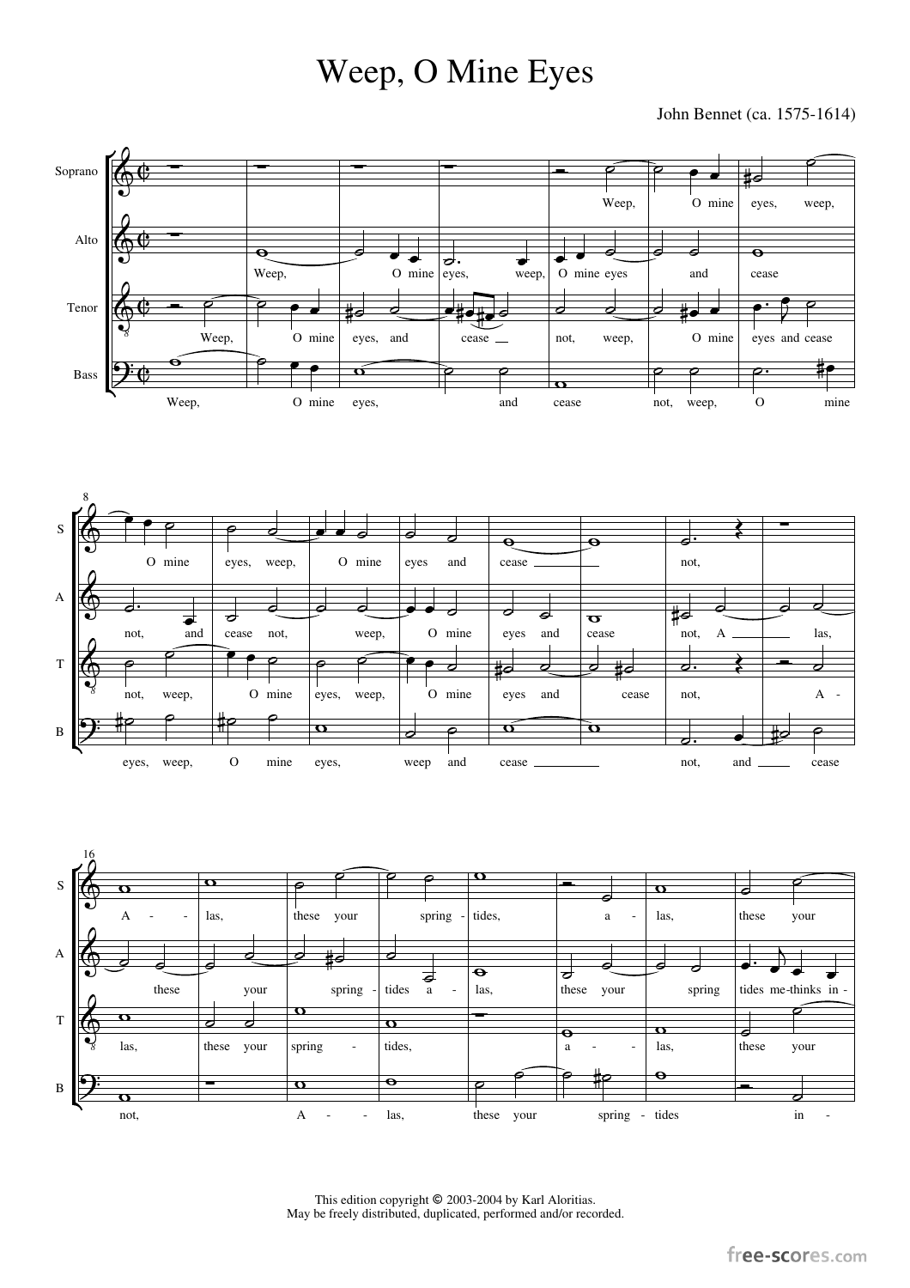## Weep, O Mine Eyes

John Bennet (ca. 1575-1614)







This edition copyright  $\textcircled{2003-2004}$  by Karl Aloritias. May be freely distributed, duplicated, performed and/or recorded.